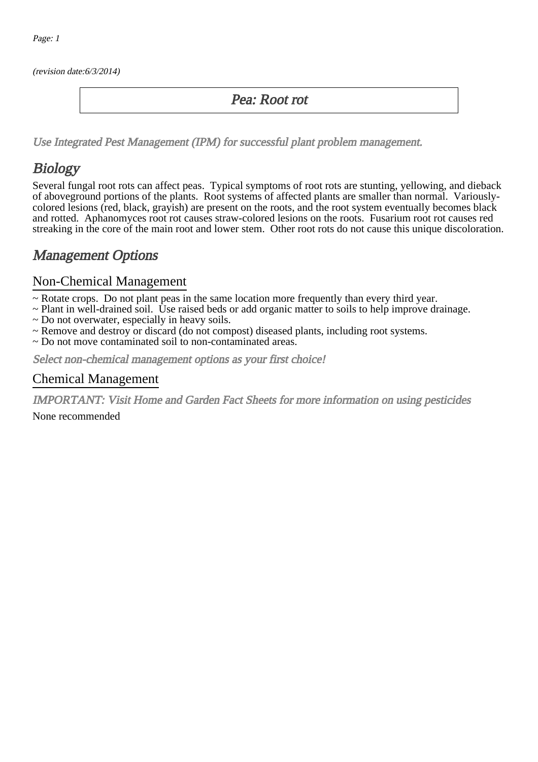(revision date:6/3/2014)

### Pea: Root rot

[Use Integrated Pest Management \(IPM\) for successful plant problem management.](http://pep.wsu.edu/Home_Garden/H_G_Pesticide_info/urban_Integrated_Pest_Managmen/)

## Biology

Several fungal root rots can affect peas. Typical symptoms of root rots are stunting, yellowing, and dieback of aboveground portions of the plants. Root systems of affected plants are smaller than normal. Variouslycolored lesions (red, black, grayish) are present on the roots, and the root system eventually becomes black and rotted. Aphanomyces root rot causes straw-colored lesions on the roots. Fusarium root rot causes red streaking in the core of the main root and lower stem. Other root rots do not cause this unique discoloration.

### Management Options

#### Non-Chemical Management

- ~ Rotate crops. Do not plant peas in the same location more frequently than every third year.
- ~ Plant in well-drained soil. Use raised beds or add organic matter to soils to help improve drainage.
- ~ Do not overwater, especially in heavy soils.
- ~ Remove and destroy or discard (do not compost) diseased plants, including root systems.
- ~ Do not move contaminated soil to non-contaminated areas.

Select non-chemical management options as your first choice!

#### Chemical Management

IMPORTANT: [Visit Home and Garden Fact Sheets for more information on using pesticides](http://pep.wsu.edu/Home_Garden/H_G_Pesticide_info/)

None recommended